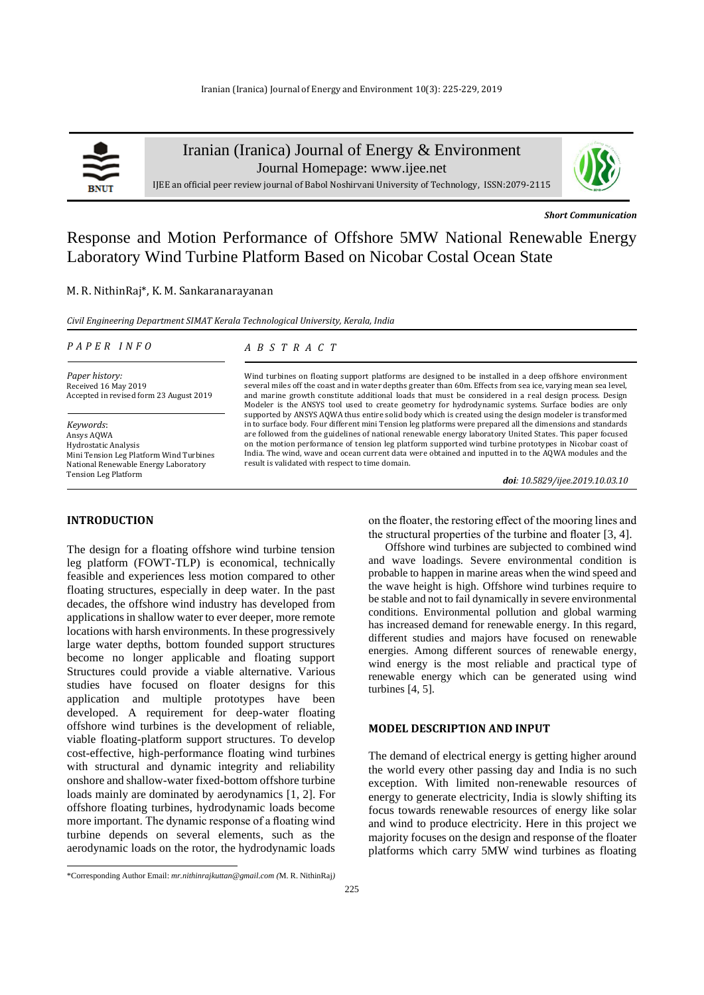Iranian (Iranica) Journal of Energy & Environment Journal Homepage: [www.ijee.net](http://www.ijee.net/)

IJEE an official peer review journal of Babol Noshirvani University of Technology, ISSN:2079-2115

*Short Communication*

# Response and Motion Performance of Offshore 5MW National Renewable Energy Laboratory Wind Turbine Platform Based on Nicobar Costal Ocean State

#### M. R. NithinRaj\*, K. M. Sankaranarayanan

*Civil Engineering Department SIMAT Kerala Technological University, Kerala, India*

| PAPER INFO                              | A B S T R A C T                                                                                                                                                                                               |
|-----------------------------------------|---------------------------------------------------------------------------------------------------------------------------------------------------------------------------------------------------------------|
| Paper history:                          | Wind turbines on floating support platforms are designed to be installed in a deep offshore environment                                                                                                       |
| Received 16 May 2019                    | several miles off the coast and in water depths greater than 60m. Effects from sea ice, varying mean sea level,                                                                                               |
| Accepted in revised form 23 August 2019 | and marine growth constitute additional loads that must be considered in a real design process. Design<br>Modeler is the ANSYS tool used to create geometry for hydrodynamic systems. Surface bodies are only |
|                                         | supported by ANSYS AQWA thus entire solid body which is created using the design modeler is transformed                                                                                                       |
| Kevwords:                               | in to surface body. Four different mini Tension leg platforms were prepared all the dimensions and standards                                                                                                  |

result is validated with respect to time domain.

*Keywords*: Ansys AQWA Hydrostatic Analysis Mini Tension Leg Platform Wind Turbines National Renewable Energy Laboratory Tension Leg Platform

## **INTRODUCTION<sup>1</sup>**

*P A P E R I N F O*

The design for a floating offshore wind turbine tension leg platform (FOWT-TLP) is economical, technically feasible and experiences less motion compared to other floating structures, especially in deep water. In the past decades, the offshore wind industry has developed from applications in shallow water to ever deeper, more remote locations with harsh environments. In these progressively large water depths, bottom founded support structures become no longer applicable and floating support Structures could provide a viable alternative. Various studies have focused on floater designs for this application and multiple prototypes have been developed. A requirement for deep-water floating offshore wind turbines is the development of reliable, viable floating-platform support structures. To develop cost-effective, high-performance floating wind turbines with structural and dynamic integrity and reliability onshore and shallow-water fixed-bottom offshore turbine loads mainly are dominated by aerodynamics [1, 2]. For offshore floating turbines, hydrodynamic loads become more important. The dynamic response of a floating wind turbine depends on several elements, such as the aerodynamic loads on the rotor, the hydrodynamic loads on the floater, the restoring effect of the mooring lines and the structural properties of the turbine and floater [3, 4].

*doi: 10.5829/ijee.2019.10.03.10*

Offshore wind turbines are subjected to combined wind and wave loadings. Severe environmental condition is probable to happen in marine areas when the wind speed and the wave height is high. Offshore wind turbines require to be stable and not to fail dynamically in severe environmental conditions. Environmental pollution and global warming has increased demand for renewable energy. In this regard, different studies and majors have focused on renewable energies. Among different sources of renewable energy, wind energy is the most reliable and practical type of renewable energy which can be generated using wind turbines [4, 5].

#### **MODEL DESCRIPTION AND INPUT**

are followed from the guidelines of national renewable energy laboratory United States. This paper focused on the motion performance of tension leg platform supported wind turbine prototypes in Nicobar coast of India. The wind, wave and ocean current data were obtained and inputted in to the AQWA modules and the

> The demand of electrical energy is getting higher around the world every other passing day and India is no such exception. With limited non-renewable resources of energy to generate electricity, India is slowly shifting its focus towards renewable resources of energy like solar and wind to produce electricity. Here in this project we majority focuses on the design and response of the floater platforms which carry 5MW wind turbines as floating



<sup>\*</sup>Corresponding Author Email: *[mr.nithinrajkuttan@gmail.com](mailto:mr.nithinrajkuttan@gmail.com) (*M. R. NithinRaj*)*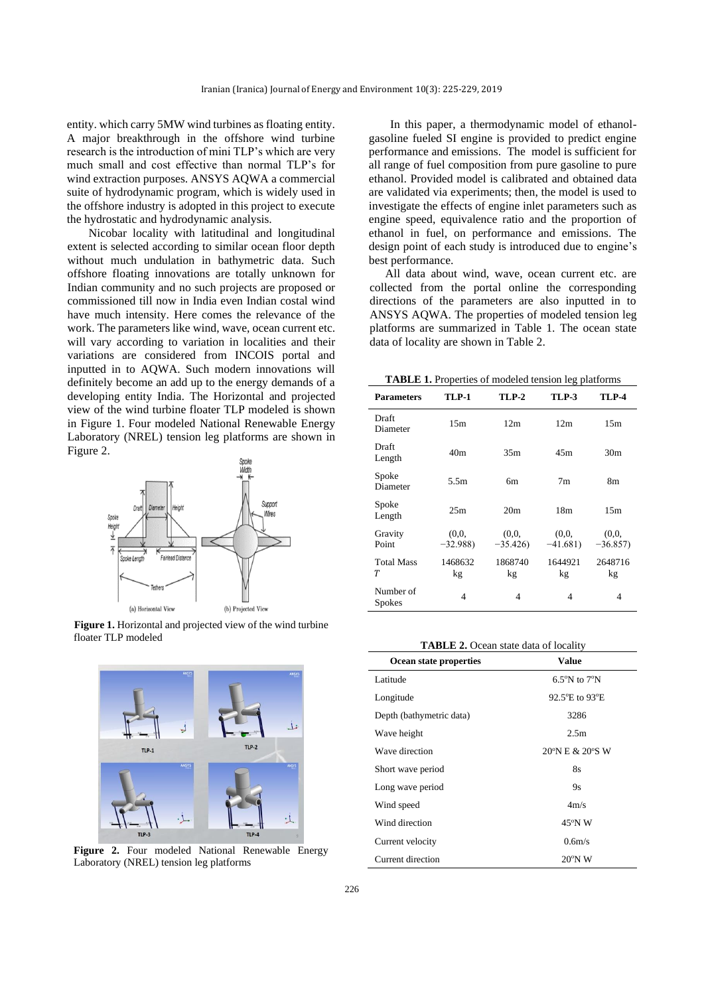entity. which carry 5MW wind turbines as floating entity. A major breakthrough in the offshore wind turbine research is the introduction of mini TLP's which are very much small and cost effective than normal TLP's for wind extraction purposes. ANSYS AQWA a commercial suite of hydrodynamic program, which is widely used in the offshore industry is adopted in this project to execute the hydrostatic and hydrodynamic analysis.

Nicobar locality with latitudinal and longitudinal extent is selected according to similar ocean floor depth without much undulation in bathymetric data. Such offshore floating innovations are totally unknown for Indian community and no such projects are proposed or commissioned till now in India even Indian costal wind have much intensity. Here comes the relevance of the work. The parameters like wind, wave, ocean current etc. will vary according to variation in localities and their variations are considered from INCOIS portal and inputted in to AQWA. Such modern innovations will definitely become an add up to the energy demands of a developing entity India. The Horizontal and projected view of the wind turbine floater TLP modeled is shown in Figure 1. Four modeled National Renewable Energy Laboratory (NREL) tension leg platforms are shown in Figure 2.



**Figure 1.** Horizontal and projected view of the wind turbine floater TLP modeled



**Figure 2.** Four modeled National Renewable Energy Laboratory (NREL) tension leg platforms

In this paper, a thermodynamic model of ethanolgasoline fueled SI engine is provided to predict engine performance and emissions. The model is sufficient for all range of fuel composition from pure gasoline to pure ethanol. Provided model is calibrated and obtained data are validated via experiments; then, the model is used to investigate the effects of engine inlet parameters such as engine speed, equivalence ratio and the proportion of ethanol in fuel, on performance and emissions. The design point of each study is introduced due to engine's best performance.

All data about wind, wave, ocean current etc. are collected from the portal online the corresponding directions of the parameters are also inputted in to ANSYS AQWA. The properties of modeled tension leg platforms are summarized in Table 1. The ocean state data of locality are shown in Table 2.

**TABLE 1.** Properties of modeled tension leg platforms

| <b>Parameters</b>          | <b>TLP-1</b>       | <b>TLP-2</b>         | <b>TLP-3</b>       | <b>TLP-4</b>         |
|----------------------------|--------------------|----------------------|--------------------|----------------------|
| Draft<br>Diameter          | 15m                | 12m                  | 12m                | 15m                  |
| Draft<br>Length            | 40 <sub>m</sub>    | 35m                  | 45m                | 30 <sub>m</sub>      |
| Spoke<br>Diameter          | 5.5 <sub>m</sub>   | бm                   | 7 <sub>m</sub>     | 8m                   |
| Spoke<br>Length            | 25m                | 20 <sub>m</sub>      | 18 <sub>m</sub>    | 15m                  |
| Gravity<br>Point           | (0,0,<br>$-32.988$ | (0.0, )<br>$-35.426$ | (0,0,<br>$-41.681$ | (0.0, )<br>$-36.857$ |
| <b>Total Mass</b><br>T     | 1468632<br>kg      | 1868740<br>kg        | 1644921<br>kg      | 2648716<br>kg        |
| Number of<br><b>Spokes</b> | $\overline{4}$     | 4                    | 4                  | 4                    |

| TABLE 2. Ocean state data of locality |  |  |  |  |  |  |
|---------------------------------------|--|--|--|--|--|--|
|---------------------------------------|--|--|--|--|--|--|

| Ocean state properties   | Value                            |
|--------------------------|----------------------------------|
| Latitude                 | $6.5^{\circ}$ N to $7^{\circ}$ N |
| Longitude                | 92.5°E to 93°E                   |
| Depth (bathymetric data) | 3286                             |
| Wave height              | 2.5 <sub>m</sub>                 |
| Wave direction           | 20°N E & 20°S W                  |
| Short wave period        | <b>8s</b>                        |
| Long wave period         | 9s                               |
| Wind speed               | 4m/s                             |
| Wind direction           | $45^{\circ}$ N W                 |
| Current velocity         | 0.6 <sub>m/s</sub>               |
| Current direction        | $20^{\circ}$ N W                 |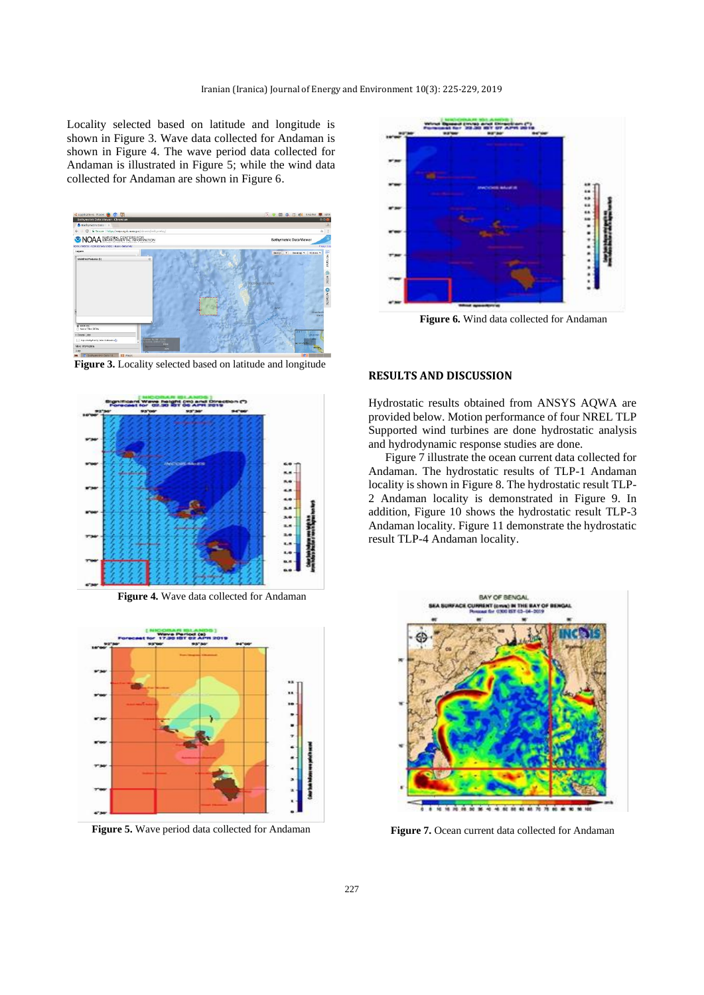Locality selected based on latitude and longitude is shown in Figure 3. Wave data collected for Andaman is shown in Figure 4. The wave period data collected for Andaman is illustrated in Figure 5; while the wind data collected for Andaman are shown in Figure 6.



**Figure 3.** Locality selected based on latitude and longitude



**Figure 4.** Wave data collected for Andaman



**Figure 5.** Wave period data collected for Andaman



**Figure 6.** Wind data collected for Andaman

### **RESULTS AND DISCUSSION**

Hydrostatic results obtained from ANSYS AQWA are provided below. Motion performance of four NREL TLP Supported wind turbines are done hydrostatic analysis and hydrodynamic response studies are done.

Figure 7 illustrate the ocean current data collected for Andaman. The hydrostatic results of TLP-1 Andaman locality is shown in Figure 8. The hydrostatic result TLP-2 Andaman locality is demonstrated in Figure 9. In addition, Figure 10 shows the hydrostatic result TLP-3 Andaman locality. Figure 11 demonstrate the hydrostatic result TLP-4 Andaman locality.



**Figure 7.** Ocean current data collected for Andaman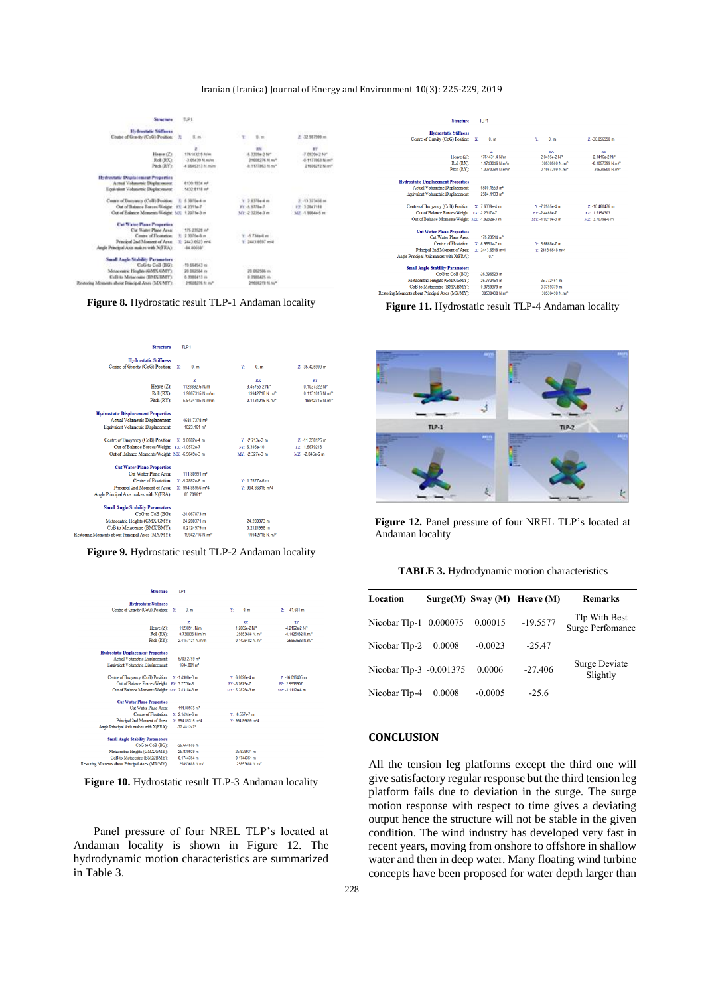#### Iranian (Iranica) Journal of Energy and Environment 10(3): 225-229, 2019

| <b>Streetware</b>                                                                                                                                                       | 1.674                                                            |                                                                 |                                                            |
|-------------------------------------------------------------------------------------------------------------------------------------------------------------------------|------------------------------------------------------------------|-----------------------------------------------------------------|------------------------------------------------------------|
| Hydesstatic Stiffness<br>Coutre of Gravity (CoG) Poution:                                                                                                               | ĸ<br><b>SHE</b><br>×                                             | A ist<br>٠<br>8.14                                              | P. -32 587900 m                                            |
| Heave (Z)<br>Roll (RX):<br>Pitch (RY):                                                                                                                                  | z<br>1761432 5 N/m<br>-3.05439 N.mi/m<br>4 0645313 N m/m         | <b>RK</b><br>4.3309x-2 N/T<br>21608276 N.m."<br>& 1177863 N m2* | RY.<br>-7.09396-2.16*<br>-6.1177863 N.mc<br>21606272 N m/* |
| <b>Hydrostatic Displacement Properties</b><br>Actual Volumetric Displacement.<br>Equivalent Volumetric Displacement:                                                    | 6139.1934 HP<br>5432 8118 m <sup>e</sup>                         |                                                                 |                                                            |
| Contro of Buryancy (CoB) Position<br>Out of Balance Forces/Weight<br>Out of Balance Moments/Weight: 500 1.2071a-3 m                                                     | $32 - 5$ . 3076 $a$ -4. os<br>$TX = 2251 + 7$                    | $T$ 2.8378e d m<br>FL-5.9778e-7<br>ME-2328e-3 m                 | 2: -13.323458.ns<br>FZ: 3.2647118<br>MZ -1 9064+5 m        |
| <b>Cut Water Plans Properties</b><br>Cut Water Plane Area:<br>Centre of Floatation.<br>Principal 2nd Montent of Arna.<br>Angle Principal Axis makes with N/FRA)         | 176.23526.edh<br>X 2.3076e-6 m<br>343 6(2) m/4<br>×<br>44 80658* | $H = 3.43234$ .<br>West T&MA E&AT (P)                           |                                                            |
| Small Angle Stability Parameters<br>CoG to CoB (BG):<br>Metaceutric Heights (GMX GMY):<br>Coll to Metacestre (BMX/BMY)<br>storing Monumes about Principal Axes (MX/MY): | -19.664543 mi<br>20 062584 m<br>0.3986413 m<br>21605276.1Lm/1    | 20 062586 m<br>0.3980A25.m<br>21608219 N.W*                     |                                                            |

**Figure 8.** Hydrostatic result TLP-1 Andaman locality

 $\mathbf{R}$ 

 $Re$ 



**Figure 9.** Hydrostatic result TLP-2 Andaman locality

| <b>Structure</b>                                   | T1P1                      |                      |                  |
|----------------------------------------------------|---------------------------|----------------------|------------------|
| <b>Hydrostatic Stiffness</b>                       |                           |                      |                  |
| Centre of Gravity (CoG) Position: X:               | 0 <sub>m</sub>            | Y.<br>0 <sub>m</sub> | 2:41681m         |
|                                                    | $\overline{z}$            | RX                   | RY               |
| Heave $(Z)$ :                                      | 1123891 N/m               | 1.2862e-2.N/°        | -4 2162a-2 N/T   |
| Roll (RX):                                         | 0 736936 N m/m            | 25853688 N m/2       | -0 1425482 N m/2 |
| Pitch (RY):                                        | -2 4157121 N m/m          | -0 1425482 N m/t     | 25853688 N m/2   |
| <b>Hydrostatic Displacement Properties</b>         |                           |                      |                  |
| Actual Volumetric Displacement:                    | 5703 2759 m <sup>a</sup>  |                      |                  |
|                                                    | 1604 801 m <sup>s</sup>   |                      |                  |
| Equivalent Volumetric Displacement:                |                           |                      |                  |
| Centre of Buovancy (CoB) Position: X: -1.4908e-3 m |                           | $Y: 68028e-4 m$      | Z: -16.016405 m  |
| Out of Balance Forces/Weight FX: 3.7776e-8         |                           | FY-37679e-7          | FZ: 2.5538907    |
| Out of Balance Moments/Weight MX: 2.4318e-3 m      |                           | MY: 5.2825e-3 m      | MZ: -3 1112e-6 m |
| <b>Cut Water Plane Properties</b>                  |                           |                      |                  |
| Cut Water Plane Area:                              | 111 80975 m <sup>2</sup>  |                      |                  |
| Centre of Floatation: X: 2.1494e-6 m               |                           | $V = 6.557e-7m$      |                  |
| Principal 2nd Moment of Area: X: 994.85315 mM4     |                           | Y: 994.85699 mM4     |                  |
| Angle Principal Axis makes with X(FRA):            | $-77.481247$ <sup>*</sup> |                      |                  |
| <b>Small Angle Stability Parameters</b>            |                           |                      |                  |
| CoG to CoB (BG):                                   | -25.664595 m              |                      |                  |
| Metacentric Heights (GMX/GMY):                     | 25.839029 m               | 25.839031 m          |                  |
| CoB to Metacentre (BMX/BMY):                       | 0 1744354 m               | 0 1744361 m          |                  |
| toring Moments about Principal Axes (MX/MY):       | 25853688 N m/2            | 25853688 N m/2       |                  |
|                                                    |                           |                      |                  |

**Figure 10.** Hydrostatic result TLP-3 Andaman locality

Panel pressure of four NREL TLP's located at Andaman locality is shown in Figure 12. The hydrodynamic motion characteristics are summarized in Table 3.



Figure 11. Hydrostatic result TLP-4 Andaman locality



**Figure 12.** Panel pressure of four NREL TLP's located at Andaman locality

**TABLE 3.** Hydrodynamic motion characteristics

| Location                |        |           | $Surge(M)$ Sway (M) Heave (M) | <b>Remarks</b>                    |
|-------------------------|--------|-----------|-------------------------------|-----------------------------------|
| Nicobar Tlp-1 0.000075  |        | 0.00015   | $-19.5577$                    | Tlp With Best<br>Surge Perfomance |
| Nicobar Tlp-2           | 0.0008 | $-0.0023$ | $-25.47$                      |                                   |
| Nicobar Tlp-3 -0.001375 |        | 0.0006    | $-27.406$                     | Surge Deviate<br>Slightly         |
| Nicobar Tlp-4           | 0.0008 | $-0.0005$ | $-25.6$                       |                                   |

### **CONCLUSION**

All the tension leg platforms except the third one will give satisfactory regular response but the third tension leg platform fails due to deviation in the surge. The surge motion response with respect to time gives a deviating output hence the structure will not be stable in the given condition. The wind industry has developed very fast in recent years, moving from onshore to offshore in shallow water and then in deep water. Many floating wind turbine concepts have been proposed for water depth larger than